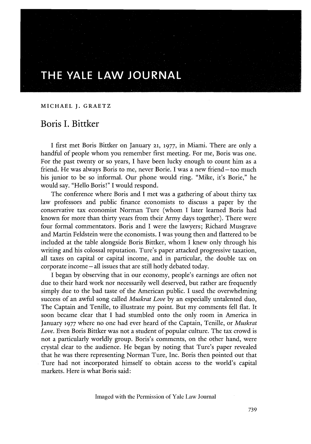## **THE YALE LAW JOURNAL**

## **MICHAEL J.** GRAETZ

## Boris **I.** Bittker

I first met Boris Bittker on January **21, 1977,** in Miami. There are only a handful of people whom you remember first meeting. For me, Boris was one. For the past twenty or so years, I have been lucky enough to count him as a friend. He was always Boris to me, never Borie. I was a new friend – too much his junior to be so informal. Our phone would ring. "Mike, it's Borie," he would say. "Hello Boris!" I would respond.

The conference where Boris and I met was a gathering of about thirty tax law professors and public finance economists to discuss a paper by the conservative tax economist Norman Ture (whom I later learned Boris had known for more than thirty years from their Army days together). There were four formal commentators. Boris and I were the lawyers; Richard Musgrave and Martin Feldstein were the economists. I was young then and flattered to be included at the table alongside Boris Bittker, whom I knew only through his writing and his colossal reputation. Ture's paper attacked progressive taxation, all taxes on capital or capital income, and in particular, the double tax on corporate income- all issues that are still hotly debated today.

I began by observing that in our economy, people's earnings are often not due to their hard work nor necessarily well deserved, but rather are frequently simply due to the bad taste of the American public. I used the overwhelming success of an awful song called *Muskrat Love* by an especially untalented duo, The Captain and Tenille, to illustrate my point. But my comments fell flat. It soon became clear that I had stumbled onto the only room in America in January **1977** where no one had ever heard of the Captain, Tenille, or *Muskrat Love.* Even Boris Bittker was not a student of popular culture. The tax crowd is not a particularly worldly group. Boris's comments, on the other hand, were crystal clear to the audience. He began by noting that Ture's paper revealed that he was there representing Norman Ture, Inc. Boris then pointed out that Ture had not incorporated himself to obtain access to the world's capital markets. Here is what Boris said: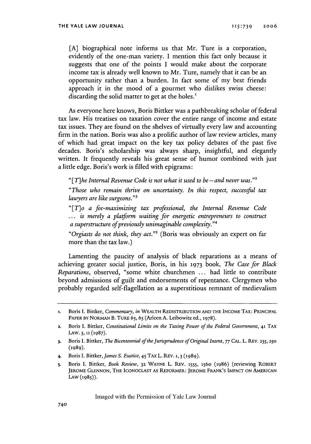[A] biographical note informs us that Mr. Ture is a corporation, evidently of the one-man variety. I mention this fact only because it suggests that one of the points I would make about the corporate income tax is already well known to Mr. Ture, namely that it can be an opportunity rather than a burden. In fact some of my best friends approach it in the mood of a gourmet who dislikes swiss cheese: discarding the solid matter to get at the holes.'

As everyone here knows, Boris Bittker was a pathbreaking scholar of federal tax law. His treatises on taxation cover the entire range of income and estate tax issues. They are found on the shelves of virtually every law and accounting firm in the nation. Boris was also a prolific author of law review articles, many of which had great impact on the key tax policy debates of the past five decades. Boris's scholarship was always sharp, insightful, and elegantly written. It frequently reveals his great sense of humor combined with just a little edge. Boris's work is filled with epigrams:

"[*T*] he Internal Revenue Code is not what it used to be – and never was."<sup>2</sup>

*"Those who remain thrive on uncertainty. In this respect, successful tax lawyers are like surgeons."3*

*"[T]o a fee-maximizing tax professional, the Internal Revenue Code* ... *is merely a platform waiting for energetic entrepreneurs to construct* a superstructure of previously unimaginable complexity."<sup>4</sup>

*"Orgiasts do not think, they act."'* (Boris was obviously an expert on far more than the tax law.)

Lamenting the paucity of analysis of black reparations as a means of achieving greater social justice, Boris, in his **1973** book, *The Case for Black Reparations,* observed, "some white churchmen ... had little to contribute beyond admissions of guilt and endorsements of repentance. Clergymen who probably regarded self-flagellation as a superstitious remnant of medievalism

Imaged with the Permission of Yale Law Journal

**<sup>1.</sup>** Boris I. Bittker, *Commentary, in* WEALTH REDISTRIBUTION **AND THE** INCOME TAX: PRINCIPAL PAPER BY NORMAN B. TuRE *65, 65* (Arleen A. Leibowitz ed., **1978).**

**<sup>2.</sup>** Boris I. Bittker, *Constitutional Limits on the Taxing Power of the Federal Government,* 41 TAx LAW. **3,** 11 **(1987).**

**<sup>3.</sup>** Boris I. Bittker, *The Bicentennial of the Jurisprudence of Original Intent,* 77 **CAL.** L. REV. **235, 250** (1989).

<sup>4.</sup> Boris I. Bittker, *James S. Eustice,* 45 TAx L. REV. **1, 3 (1989).**

**<sup>5.</sup>** Boris I. Bittker, *Book Review,* **32** WAYNE L. REV. **1555,** 156o (1986) (reviewing ROBER'T JEROME **GLENNON, THE ICONOCLAST** AS REFORMER: JEROME FRANK'S IMPACT **ON** AMERICAN LAW (1985)).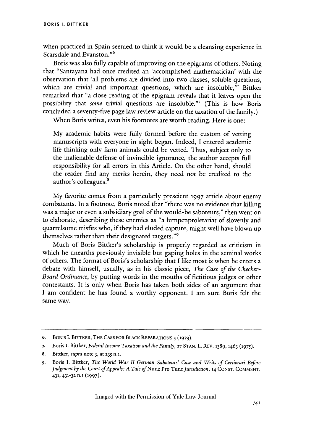when practiced in Spain seemed to think it would be a cleansing experience in Scarsdale and Evanston."<sup>6</sup>

Boris was also fully capable of improving on the epigrams of others. Noting that "Santayana had once credited an 'accomplished mathematician' with the observation that 'all problems are divided into two classes, soluble questions, which are trivial and important questions, which are insoluble,"' Bittker remarked that "a close reading of the epigram reveals that it leaves open the possibility that *some* trivial questions are insoluble."7 (This is how Boris concluded a seventy-five page law review article on the taxation of the family.)

When Boris writes, even his footnotes are worth reading. Here is one:

My academic habits were fully formed before the custom of vetting manuscripts with everyone in sight began. Indeed, I entered academic life thinking only farm animals could be vetted. Thus, subject only to the inalienable defense of invincible ignorance, the author accepts full responsibility for all errors in this Article. On the other hand, should the reader find any merits herein, they need not be credited to the author's colleagues.<sup>8</sup>

My favorite comes from a particularly prescient **1997** article about enemy combatants. In a footnote, Boris noted that "there was no evidence that killing was a major or even a subsidiary goal of the would-be saboteurs," then went on to elaborate, describing these enemies as "a lumpenproletariat of slovenly and quarrelsome misfits who, if they had eluded capture, might well have blown up themselves rather than their designated targets."<sup>9</sup>

Much of Boris Bittker's scholarship is properly regarded as criticism in which he unearths previously invisible but gaping holes in the seminal works of others. The format of Boris's scholarship that I like most is when he enters a debate with himself, usually, as in his classic piece, *The Case of the Checker-Board Ordinance,* by putting words in the mouths of fictitious judges or other contestants. It is only when Boris has taken both sides of an argument that I am confident he has found a worthy opponent. I am sure Boris felt the same way.

Imaged with the Permission of Yale Law Journal

**<sup>6.</sup>** BoRis **I. BITTKER,** THE **CASE** FOR BLACK REPARATIONS 5 **(1973).**

**<sup>7.</sup>** Boris I. Bittker, *Federal Income Taxation and the Family,* **27 STAN.** L. REv. **1389,** 1463 **(1975).**

<sup>8.</sup> Bittker, *supra* note 3, at **235** n.1.

**<sup>9.</sup>** Boris I. Bittker, *The World War II German Saboteurs' Case and Writs of Certiorari Before Judgment by the Court of Appeals: A Tale of* Nunc Pro Tunc *Jurisdiction,* **14** CONST. COMMENT. 431, 431-32 **n. (1997).**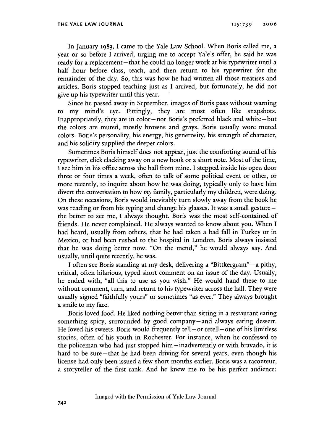In January **1983,** I came to the Yale Law School. When Boris called me, a year or so before I arrived, urging me to accept Yale's offer, he said he was ready for a replacement- that he could no longer work at his typewriter until a half hour before class, teach, and then return to his typewriter for the remainder of the day. So, this was how he had written all those treatises and articles. Boris stopped teaching just as I arrived, but fortunately, he did not give up his typewriter until this year.

Since he passed away in September, images of Boris pass without warning to my mind's eye. Fittingly, they are most often like snapshots. Inappropriately, they are in color **-** not Boris's preferred black and white **-** but the colors are muted, mostly browns and grays. Boris usually wore muted colors. Boris's personality, his energy, his generosity, his strength of character, and his solidity supplied the deeper colors.

Sometimes Boris himself does not appear, just the comforting sound of his typewriter, click clacking away on a new book or a short note. Most of the time, I see him in his office across the hall from mine. I stepped inside his open door three or four times a week, often to talk of some political event or other, or more recently, to inquire about how he was doing, typically only to have him divert the conversation to how *my* family, particularly my children, were doing. On these occasions, Boris would inevitably turn slowly away from the book he was reading or from his typing and change his glasses. It was a small gesturethe better to see me, I always thought. Boris was the most self-contained of friends. He never complained. He always wanted to know about you. When I had heard, usually from others, that he had taken a bad fall in Turkey or in Mexico, or had been rushed to the hospital in London, Boris always insisted that he was doing better now. "On the mend," he would always say. And usually, until quite recently, he was.

I often see Boris standing at my desk, delivering a "Bittkergram" **-a** pithy, critical, often hilarious, typed short comment on an issue of the day. Usually, he ended with, "all this to use as you wish." He would hand these to me without comment, turn, and return to his typewriter across the hall. They were usually signed "faithfully yours" or sometimes "as ever." They always brought a smile to my face.

Boris loved food. He liked nothing better than sitting in a restaurant eating something spicy, surrounded by good company- and always eating dessert. He loved his sweets. Boris would frequently tell **-** or retell **-** one of his limitless stories, often of his youth in Rochester. For instance, when he confessed to the policeman who had just stopped him- inadvertently or with bravado, it is hard to be sure-that he had been driving for several years, even though his license had only been issued a few short months earlier. Boris was a raconteur, a storyteller of the first rank. And he knew me to be his perfect audience: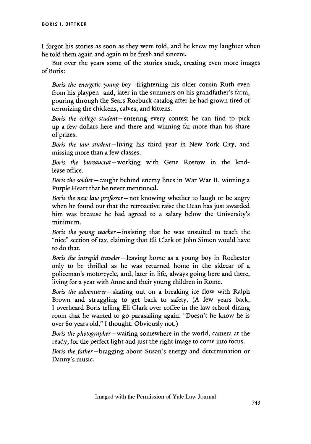**I** forgot his stories as soon as they were told, and he knew my laughter when he told them again and again to be fresh and sincere.

But over the years some of the stories stuck, creating even more images of Boris:

*Boris the energetic young boy*-frightening his older cousin Ruth even from his playpen-and, later in the summers on his grandfather's farm, pouring through the Sears Roebuck catalog after he had grown tired of terrorizing the chickens, calves, and kittens.

*Boris the college student-* entering every contest he can find to pick up a few dollars here and there and winning far more than his share of prizes.

*Boris the law student-living* his third year in New York City, and missing more than a few classes.

*Boris the bureaucrat-working* with Gene Rostow in the lendlease office.

*Boris the soldier* – caught behind enemy lines in War War II, winning a Purple Heart that he never mentioned.

*Boris the new law professor-not* knowing whether to laugh or be angry when he found out that the retroactive raise the Dean has just awarded him was because he had agreed to a salary below the University's minimum.

*Boris the young teacher-* insisting that he was unsuited to teach the "nice" section of tax, claiming that Eli Clark or John Simon would have to do that.

*Boris the intrepid traveler-* leaving home as a young boy in Rochester only to be thrilled as he was returned home in the sidecar of a policeman's motorcycle, and, later in life, always going here and there, living for a year with Anne and their young children in Rome.

*Boris the adventurer-* skating out on a breaking ice flow with Ralph Brown and struggling to get back to safety. (A few years back, I overheard Boris telling Eli Clark over coffee in the law school dining room that he wanted to go parasailing again. "Doesn't he know he is over 8o years old," I thought. Obviously not.)

*Boris the photographer-waiting* somewhere in the world, camera at the ready, for the perfect light and just the right image to come into focus.

*Boris the father-* bragging about Susan's energy and determination or Danny's music.